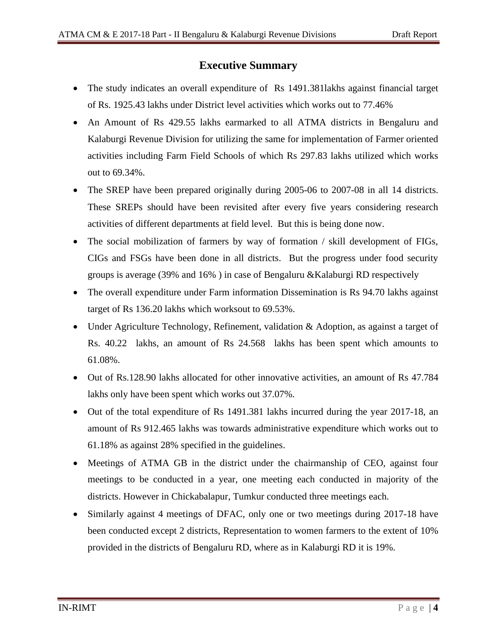## **Executive Summary**

- The study indicates an overall expenditure of Rs 1491.381 lakhs against financial target of Rs. 1925.43 lakhs under District level activities which works out to 77.46%
- An Amount of Rs 429.55 lakhs earmarked to all ATMA districts in Bengaluru and Kalaburgi Revenue Division for utilizing the same for implementation of Farmer oriented activities including Farm Field Schools of which Rs 297.83 lakhs utilized which works out to 69.34%.
- The SREP have been prepared originally during 2005-06 to 2007-08 in all 14 districts. These SREPs should have been revisited after every five years considering research activities of different departments at field level. But this is being done now.
- The social mobilization of farmers by way of formation / skill development of FIGs, CIGs and FSGs have been done in all districts. But the progress under food security groups is average (39% and 16% ) in case of Bengaluru &Kalaburgi RD respectively
- The overall expenditure under Farm information Dissemination is Rs 94.70 lakhs against target of Rs 136.20 lakhs which worksout to 69.53%.
- Under Agriculture Technology, Refinement, validation & Adoption, as against a target of Rs. 40.22 lakhs, an amount of Rs 24.568 lakhs has been spent which amounts to 61.08%.
- Out of Rs.128.90 lakhs allocated for other innovative activities, an amount of Rs 47.784 lakhs only have been spent which works out 37.07%.
- Out of the total expenditure of Rs 1491.381 lakhs incurred during the year 2017-18, an amount of Rs 912.465 lakhs was towards administrative expenditure which works out to 61.18% as against 28% specified in the guidelines.
- Meetings of ATMA GB in the district under the chairmanship of CEO, against four meetings to be conducted in a year, one meeting each conducted in majority of the districts. However in Chickabalapur, Tumkur conducted three meetings each.
- Similarly against 4 meetings of DFAC, only one or two meetings during 2017-18 have been conducted except 2 districts, Representation to women farmers to the extent of 10% provided in the districts of Bengaluru RD, where as in Kalaburgi RD it is 19%.